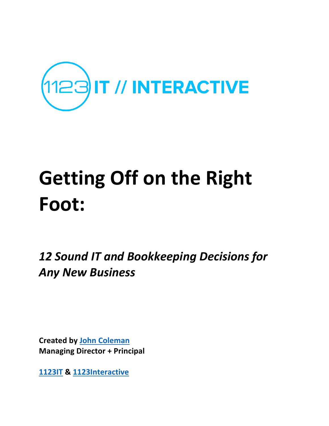

## **Getting Off on the Right Foot:**

12 Sound IT and Bookkeeping Decisions for *Any New Business*

**Created by John Coleman Managing Director + Principal** 

**1123IT & 1123Interactive**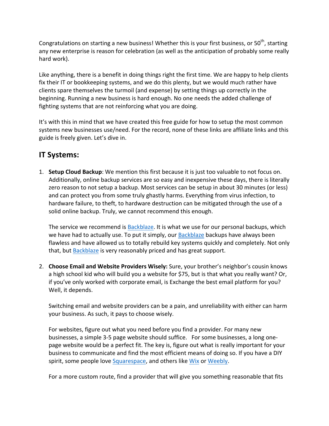Congratulations on starting a new business! Whether this is your first business, or  $50^{th}$ , starting any new enterprise is reason for celebration (as well as the anticipation of probably some really hard work).

Like anything, there is a benefit in doing things right the first time. We are happy to help clients fix their IT or bookkeeping systems, and we do this plenty, but we would much rather have clients spare themselves the turmoil (and expense) by setting things up correctly in the beginning. Running a new business is hard enough. No one needs the added challenge of fighting systems that are not reinforcing what you are doing.

It's with this in mind that we have created this free guide for how to setup the most common systems new businesses use/need. For the record, none of these links are affiliate links and this guide is freely given. Let's dive in.

## **IT Systems:**

1. **Setup Cloud Backup**: We mention this first because it is just too valuable to not focus on. Additionally, online backup services are so easy and inexpensive these days, there is literally zero reason to not setup a backup. Most services can be setup in about 30 minutes (or less) and can protect you from some truly ghastly harms. Everything from virus infection, to hardware failure, to theft, to hardware destruction can be mitigated through the use of a solid online backup. Truly, we cannot recommend this enough.

The service we recommend is Backblaze. It is what we use for our personal backups, which we have had to actually use. To put it simply, our Backblaze backups have always been flawless and have allowed us to totally rebuild key systems quickly and completely. Not only that, but Backblaze is very reasonably priced and has great support.

2. **Choose Email and Website Providers Wisely:** Sure, your brother's neighbor's cousin knows a high school kid who will build you a website for \$75, but is that what you really want? Or, if you've only worked with corporate email, is Exchange the best email platform for you? Well, it depends.

Switching email and website providers can be a pain, and unreliability with either can harm your business. As such, it pays to choose wisely.

For websites, figure out what you need before you find a provider. For many new businesses, a simple 3-5 page website should suffice. For some businesses, a long onepage website would be a perfect fit. The key is, figure out what is really important for your business to communicate and find the most efficient means of doing so. If you have a DIY spirit, some people love Squarespace, and others like Wix or Weebly.

For a more custom route, find a provider that will give you something reasonable that fits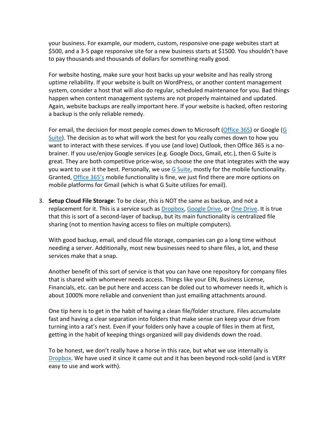your business. For example, our modern, custom, responsive one-page websites start at \$500, and a 3-5 page responsive site for a new business starts at \$1500. You shouldn't have to pay thousands and thousands of dollars for something really good.

For website hosting, make sure your host backs up your website and has really strong uptime reliability. If your website is built on WordPress, or another content management system, consider a host that will also do regular, scheduled maintenance for you. Bad things happen when content management systems are not properly maintained and updated. Again, website backups are really important here. If your website is hacked, often restoring a backup is the only reliable remedy.

For email, the decision for most people comes down to Microsoft (Office 365) or Google (G Suite). The decision as to what will work the best for you really comes down to how you want to interact with these services. If you use (and love) Outlook, then Office 365 is a nobrainer. If you use/enjoy Google services (e.g. Google Docs, Gmail, etc.), then G Suite is great. They are both competitive price-wise, so choose the one that integrates with the way you want to use it the best. Personally, we use  $G$  Suite, mostly for the mobile functionality. Granted, Office 365's mobile functionality is fine, we just find there are more options on mobile platforms for Gmail (which is what G Suite utilizes for email).

3. **Setup Cloud File Storage**: To be clear, this is NOT the same as backup, and not a replacement for it. This is a service such as Dropbox, Google Drive, or One Drive. It is true that this is sort of a second-layer of backup, but its main functionality is centralized file sharing (not to mention having access to files on multiple computers).

With good backup, email, and cloud file storage, companies can go a long time without needing a server. Additionally, most new businesses need to share files, a lot, and these services make that a snap.

Another benefit of this sort of service is that you can have one repository for company files that is shared with whomever needs access. Things like your EIN, Business License, Financials, etc. can be put here and access can be doled out to whomever needs it, which is about 1000% more reliable and convenient than just emailing attachments around.

One tip here is to get in the habit of having a clean file/folder structure. Files accumulate fast and having a clear separation into folders that make sense can keep your drive from turning into a rat's nest. Even if your folders only have a couple of files in them at first, getting in the habit of keeping things organized will pay dividends down the road.

To be honest, we don't really have a horse in this race, but what we use internally is Dropbox. We have used it since it came out and it has been beyond rock-solid (and is VERY easy to use and work with).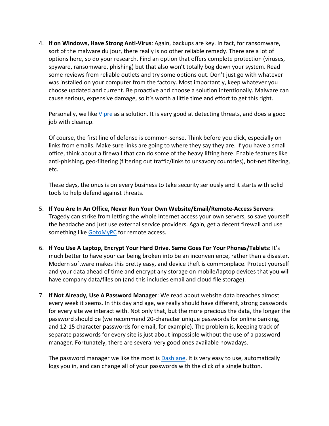4. **If on Windows, Have Strong Anti-Virus**: Again, backups are key. In fact, for ransomware, sort of the malware du jour, there really is no other reliable remedy. There are a lot of options here, so do your research. Find an option that offers complete protection (viruses, spyware, ransomware, phishing) but that also won't totally bog down your system. Read some reviews from reliable outlets and try some options out. Don't just go with whatever was installed on your computer from the factory. Most importantly, keep whatever you choose updated and current. Be proactive and choose a solution intentionally. Malware can cause serious, expensive damage, so it's worth a little time and effort to get this right.

Personally, we like Vipre as a solution. It is very good at detecting threats, and does a good job with cleanup.

Of course, the first line of defense is common-sense. Think before you click, especially on links from emails. Make sure links are going to where they say they are. If you have a small office, think about a firewall that can do some of the heavy lifting here. Enable features like anti-phishing, geo-filtering (filtering out traffic/links to unsavory countries), bot-net filtering, etc. 

These days, the onus is on every business to take security seriously and it starts with solid tools to help defend against threats.

- 5. **If You Are In An Office, Never Run Your Own Website/Email/Remote-Access Servers**: Tragedy can strike from letting the whole Internet access your own servers, so save yourself the headache and just use external service providers. Again, get a decent firewall and use something like GotoMyPC for remote access.
- 6. If You Use A Laptop, Encrypt Your Hard Drive. Same Goes For Your Phones/Tablets: It's much better to have your car being broken into be an inconvenience, rather than a disaster. Modern software makes this pretty easy, and device theft is commonplace. Protect yourself and your data ahead of time and encrypt any storage on mobile/laptop devices that you will have company data/files on (and this includes email and cloud file storage).
- 7. If Not Already, Use A Password Manager: We read about website data breaches almost every week it seems. In this day and age, we really should have different, strong passwords for every site we interact with. Not only that, but the more precious the data, the longer the password should be (we recommend 20-character unique passwords for online banking, and 12-15 character passwords for email, for example). The problem is, keeping track of separate passwords for every site is just about impossible without the use of a password manager. Fortunately, there are several very good ones available nowadays.

The password manager we like the most is Dashlane. It is very easy to use, automatically logs you in, and can change all of your passwords with the click of a single button.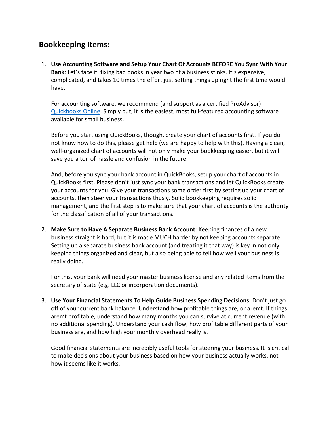## **Bookkeeping Items:**

1. Use Accounting Software and Setup Your Chart Of Accounts BEFORE You Sync With Your **Bank**: Let's face it, fixing bad books in year two of a business stinks. It's expensive, complicated, and takes 10 times the effort just setting things up right the first time would have.

For accounting software, we recommend (and support as a certified ProAdvisor) Quickbooks Online. Simply put, it is the easiest, most full-featured accounting software available for small business.

Before you start using QuickBooks, though, create your chart of accounts first. If you do not know how to do this, please get help (we are happy to help with this). Having a clean, well-organized chart of accounts will not only make your bookkeeping easier, but it will save you a ton of hassle and confusion in the future.

And, before you sync your bank account in QuickBooks, setup your chart of accounts in QuickBooks first. Please don't just sync your bank transactions and let QuickBooks create your accounts for you. Give your transactions some order first by setting up your chart of accounts, then steer your transactions thusly. Solid bookkeeping requires solid management, and the first step is to make sure that your chart of accounts is the authority for the classification of all of your transactions.

2. Make Sure to Have A Separate Business Bank Account: Keeping finances of a new business straight is hard, but it is made MUCH harder by not keeping accounts separate. Setting up a separate business bank account (and treating it that way) is key in not only keeping things organized and clear, but also being able to tell how well your business is really doing.

For this, your bank will need your master business license and any related items from the secretary of state (e.g. LLC or incorporation documents).

3. Use Your Financial Statements To Help Guide Business Spending Decisions: Don't just go off of your current bank balance. Understand how profitable things are, or aren't. If things aren't profitable, understand how many months you can survive at current revenue (with no additional spending). Understand your cash flow, how profitable different parts of your business are, and how high your monthly overhead really is.

Good financial statements are incredibly useful tools for steering your business. It is critical to make decisions about your business based on how your business actually works, not how it seems like it works.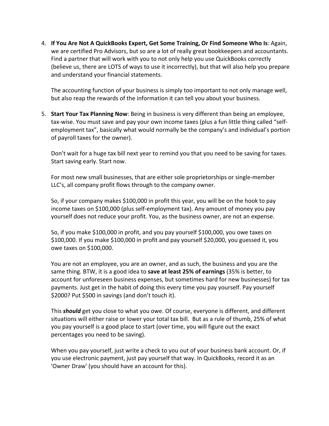4. If You Are Not A QuickBooks Expert, Get Some Training, Or Find Someone Who Is: Again, we are certified Pro Advisors, but so are a lot of really great bookkeepers and accountants. Find a partner that will work with you to not only help you use QuickBooks correctly (believe us, there are LOTS of ways to use it incorrectly), but that will also help you prepare and understand your financial statements.

The accounting function of your business is simply too important to not only manage well, but also reap the rewards of the information it can tell you about your business.

5. **Start Your Tax Planning Now**: Being in business is very different than being an employee, tax-wise. You must save and pay your own income taxes (plus a fun little thing called "selfemployment tax", basically what would normally be the company's and individual's portion of payroll taxes for the owner).

Don't wait for a huge tax bill next year to remind you that you need to be saving for taxes. Start saving early. Start now.

For most new small businesses, that are either sole proprietorships or single-member LLC's, all company profit flows through to the company owner.

So, if your company makes \$100,000 in profit this year, you will be on the hook to pay income taxes on \$100,000 (plus self-employment tax). Any amount of money you pay yourself does not reduce your profit. You, as the business owner, are not an expense.

So, if you make \$100,000 in profit, and you pay yourself \$100,000, you owe taxes on  $$100,000$ . If you make  $$100,000$  in profit and pay yourself  $$20,000$ , you guessed it, you owe taxes on \$100,000.

You are not an employee, you are an owner, and as such, the business and you are the same thing. BTW, it is a good idea to save at least 25% of earnings (35% is better, to account for unforeseen business expenses, but sometimes hard for new businesses) for tax payments. Just get in the habit of doing this every time you pay yourself. Pay yourself \$2000? Put \$500 in savings (and don't touch it).

This **should** get you close to what you owe. Of course, everyone is different, and different situations will either raise or lower your total tax bill. But as a rule of thumb, 25% of what you pay yourself is a good place to start (over time, you will figure out the exact percentages you need to be saving).

When you pay yourself, just write a check to you out of your business bank account. Or, if you use electronic payment, just pay yourself that way. In QuickBooks, record it as an 'Owner Draw' (you should have an account for this).